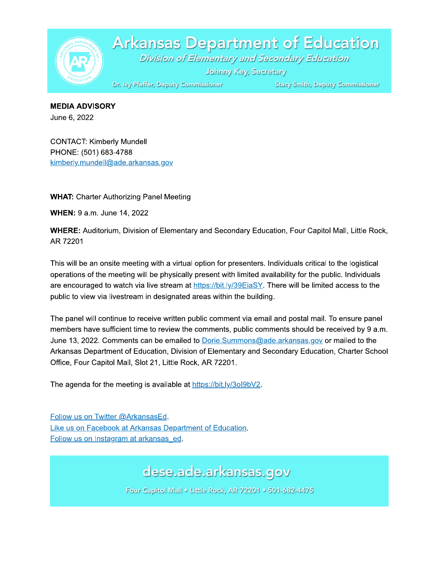

**Arkansas Department of Education** Division of Elementary and Secondary Education

Johnny Key, Secretary

**Stacy Smith, Deputy Commissioner** 

**WEDIA ADVISORY** June 6, 2022

**CONTACT: Kimberly Mundell** Dr. by Pfeffer, I<br>
MEDIA ADVISORY<br>
June 6, 2022<br>
CONTACT: Kimberly Mundell<br>
PHONE: (501) 683-4788<br>
kimberly.mundell@ade.arkansas<br>
WHAT: Charter Authorizing Pane<br>
WHEN: 9 a.m. June 14, 2022 kimberly.mundell@ade.arkansas.gov

WHAT: Charter Authorizing Panel Meeting

 $\ddotsc$ **WHEN:** 9 a.m. June 14, 2022

WHERE: Auditorium, Division of Elementary and Secondary Education, Four Capitol Mall, Little Rock, AR 72201

This will be an onsite meeting with a virtual option for presenters. Individuals critical to the logistical operations of the meeting will be physically present with limited availability for the public. Individuals are encouraged to watch via live stream at  $\frac{https://bit.ly/39EiaSY}{https://bit.ly/39EiaSY}$ . There will be limited access to the public to view via livestream in designated areas within the building.

The panel will continue to receive written public comment via email and postal mail. To ensure panel members have sufficient time to review the comments, public comments should be received by 9 a.m. June 13, 2022. Comments can be emailed to Dorie. Summons @ade.arkansas.gov or mailed to the Arkansas Department of Education, Division of Elementary and Secondary Education, Charter School Office, Four Capitol Mall, Slot 21, Little Rock, AR 72201.

The agenda for the meeting is available at  $\frac{https://bit.ly/30l9bV2}{https://bit.ly/30l9bV2}$ .

Follow us on Twitter @ArkansasEd. Like us on Facebook at Arkansas Department of Education. Follow us on Instagram at arkansas ed.

dese.ade.arkansas.gov

Four Capitol Mall . Little Rock, AR 72201 . 501-682-4475